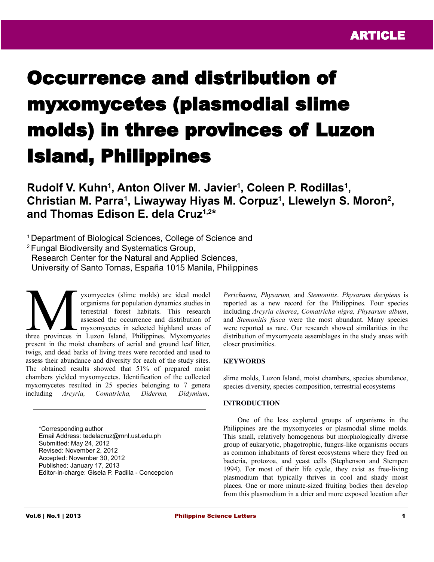# Occurrence and distribution of myxomycetes (plasmodial slime molds) in three provinces of Luzon Island, Philippines

**Rudolf V. Kuhn<sup>1</sup>, Anton Oliver M. Javier<sup>1</sup>, Coleen P. Rodillas<sup>1</sup>,** Christian M. Parra<sup>1</sup>, Liwayway Hiyas M. Corpuz<sup>1</sup>, Llewelyn S. Moron<sup>2</sup>, **and Thomas Edison E. dela Cruz1,2 \***

<sup>1</sup> Department of Biological Sciences, College of Science and

<sup>2</sup>Fungal Biodiversity and Systematics Group,

Research Center for the Natural and Applied Sciences,

University of Santo Tomas, España 1015 Manila, Philippines

yxomycetes (slime molds) are ideal model organisms for population dynamics studies in terrestrial forest habitats. This research assessed the occurrence and distribution of myxomycetes in selected highland areas of yxomycetes (slime molds) are ideal model<br>organisms for population dynamics studies in<br>terrestrial forest habitats. This research<br>assessed the occurrence and distribution of<br>three provinces in Luzon Island, Philippines. Myx present in the moist chambers of aerial and ground leaf litter, twigs, and dead barks of living trees were recorded and used to assess their abundance and diversity for each of the study sites. The obtained results showed that 51% of prepared moist chambers yielded myxomycetes. Identification of the collected myxomycetes resulted in 25 species belonging to 7 genera including *Arcyria, Comatricha, Diderma, Didymium,*

\*Corresponding author Email Address: tedelacruz@mnl.ust.edu.ph Submitted: May 24, 2012 Revised: November 2, 2012 Accepted: November 30, 2012 Published: January 17, 2013 Editor-in-charge: Gisela P. Padilla - Concepcion *Perichaena, Physarum,* and *Stemonitis*. *Physarum decipiens* is reported as a new record for the Philippines. Four species including *Arcyria cinerea*, *Comatricha nigra, Physarum album*, and *Stemonitis fusca* were the most abundant. Many species were reported as rare. Our research showed similarities in the distribution of myxomycete assemblages in the study areas with closer proximities.

## **KEYWORDS**

slime molds, Luzon Island, moist chambers, species abundance, species diversity, species composition, terrestrial ecosystems

# **INTRODUCTION**

One of the less explored groups of organisms in the Philippines are the myxomycetes or plasmodial slime molds. This small, relatively homogenous but morphologically diverse group of eukaryotic, phagotrophic, fungus-like organisms occurs as common inhabitants of forest ecosystems where they feed on bacteria, protozoa, and yeast cells (Stephenson and Stempen 1994). For most of their life cycle, they exist as free-living plasmodium that typically thrives in cool and shady moist places. One or more minute-sized fruiting bodies then develop from this plasmodium in a drier and more exposed location after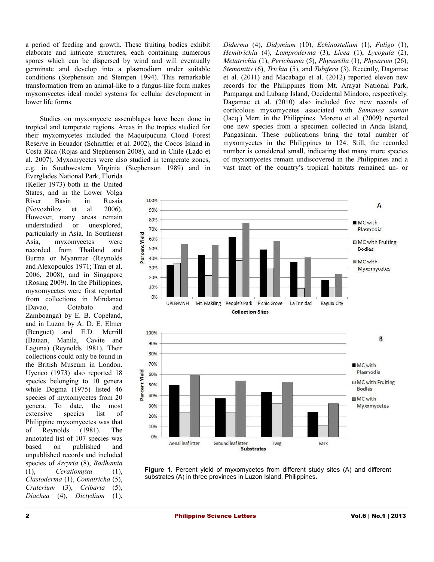a period of feeding and growth. These fruiting bodies exhibit elaborate and intricate structures, each containing numerous spores which can be dispersed by wind and will eventually germinate and develop into a plasmodium under suitable conditions (Stephenson and Stempen 1994). This remarkable transformation from an animal-like to a fungus-like form makes myxomycetes ideal model systems for cellular development in lower life forms.

Studies on myxomycete assemblages have been done in tropical and temperate regions. Areas in the tropics studied for their myxomycetes included the Maquipucuna Cloud Forest Reserve in Ecuador (Schnittler et al. 2002), the Cocos Island in Costa Rica (Rojas and Stephenson 2008), and in Chile (Lado et al. 2007). Myxomycetes were also studied in temperate zones, e.g. in Southwestern Virginia (Stephenson 1989) and in

Everglades National Park, Florida (Keller 1973) both in the United States, and in the Lower Volga River Basin in Russia (Novozhilov et al. 2006). However, many areas remain understudied or unexplored, particularly in Asia. In Southeast Asia, myxomycetes were recorded from Thailand and Burma or Myanmar (Reynolds and Alexopoulos 1971; Tran et al. 2006, 2008), and in Singapore (Rosing 2009). In the Philippines, myxomycetes were first reported from collections in Mindanao (Davao, Cotabato and Zamboanga) by E. B. Copeland, and in Luzon by A. D. E. Elmer (Benguet) and E.D. Merrill (Bataan, Manila, Cavite and Laguna) (Reynolds 1981). Their collections could only be found in the British Museum in London. Uyenco (1973) also reported 18 species belonging to 10 genera while Dogma (1975) listed 46 species of myxomycetes from 20 genera. To date, the most extensive species list of Philippine myxomycetes was that of Reynolds (1981). The annotated list of 107 species was based on published and unpublished records and included species of *Arcyria* (8), *Badhamia* (1), *Ceratiomyxa* (1), *Clastoderma* (1), *Comatricha* (5), *Craterium* (3), *Cribaria* (5), *Diachea* (4), *Dictydium* (1),

*Diderma* (4), *Didymium* (10), *Echinostelium* (1), *Fuligo* (1), *Hemitrichia* (4), *Lamproderma* (3), *Licea* (1), *Lycogala* (2), *Metatrichia* (1), *Perichaena* (5), *Physarella* (1), *Physarum* (26), *Stemonitis* (6), *Trichia* (5), and *Tubifera* (3). Recently, Dagamac et al. (2011) and Macabago et al. (2012) reported eleven new records for the Philippines from Mt. Arayat National Park, Pampanga and Lubang Island, Occidental Mindoro, respectively. Dagamac et al. (2010) also included five new records of corticolous myxomycetes associated with *Samanea saman* (Jacq.) Merr. in the Philippines. Moreno et al. (2009) reported one new species from a specimen collected in Anda Island, Pangasinan. These publications bring the total number of myxomycetes in the Philippines to 124. Still, the recorded number is considered small, indicating that many more species of myxomycetes remain undiscovered in the Philippines and a vast tract of the country's tropical habitats remained un- or



**Figure 1**. Percent yield of myxomycetes from different study sites (A) and different substrates (A) in three provinces in Luzon Island, Philippines.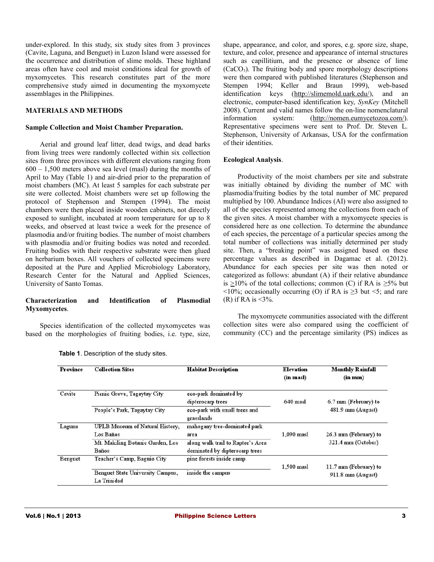under-explored. In this study, six study sites from 3 provinces (Cavite, Laguna, and Benguet) in Luzon Island were assessed for the occurrence and distribution of slime molds. These highland areas often have cool and moist conditions ideal for growth of myxomycetes. This research constitutes part of the more comprehensive study aimed in documenting the myxomycete assemblages in the Philippines.

## **MATERIALS AND METHODS**

### **Sample Collection and Moist Chamber Preparation.**

Aerial and ground leaf litter, dead twigs, and dead barks from living trees were randomly collected within six collection sites from three provinces with different elevations ranging from 600 – 1,500 meters above sea level (masl) during the months of April to May (Table 1) and air-dried prior to the preparation of moist chambers (MC). At least 5 samples for each substrate per site were collected. Moist chambers were set up following the protocol of Stephenson and Stempen (1994). The moist chambers were then placed inside wooden cabinets, not directly exposed to sunlight, incubated at room temperature for up to 8 weeks, and observed at least twice a week for the presence of plasmodia and/or fruiting bodies. The number of moist chambers with plasmodia and/or fruiting bodies was noted and recorded. Fruiting bodies with their respective substrate were then glued on herbarium boxes. All vouchers of collected specimens were deposited at the Pure and Applied Microbiology Laboratory, Research Center for the Natural and Applied Sciences, University of Santo Tomas.

# **Characterization and Identification of Plasmodial Myxomycetes**.

Species identification of the collected myxomycetes was based on the morphologies of fruiting bodies, i.e. type, size,

shape, appearance, and color, and spores, e.g. spore size, shape, texture, and color, presence and appearance of internal structures such as capillitium, and the presence or absence of lime  $(CaCO<sub>3</sub>)$ . The fruiting body and spore morphology descriptions were then compared with published literatures (Stephenson and Stempen 1994; Keller and Braun 1999), web-based identification keys [\(http://slimemold.uark.edu/\)](http://slimemold.uark.edu/), and an electronic, computer-based identification key, *SynKey* (Mitchell 2008). Current and valid names follow the on-line nomenclatural information system: [\(http://nomen.eumycetozoa.com/\)](http://nomen.eumycetozoa.com/). Representative specimens were sent to Prof. Dr. Steven L. Stephenson, University of Arkansas, USA for the confirmation of their identities.

# **Ecological Analysis**.

Productivity of the moist chambers per site and substrate was initially obtained by dividing the number of MC with plasmodia/fruiting bodies by the total number of MC prepared multiplied by 100. Abundance Indices (AI) were also assigned to all of the species represented among the collections from each of the given sites. A moist chamber with a myxomycete species is considered here as one collection. To determine the abundance of each species, the percentage of a particular species among the total number of collections was initially determined per study site. Then, a "breaking point" was assigned based on these percentage values as described in Dagamac et al. (2012). Abundance for each species per site was then noted or categorized as follows: abundant (A) if their relative abundance is  $\geq$ 10% of the total collections; common (C) if RA is  $\geq$ 5% but  $\leq 10\%$ ; occasionally occurring (O) if RA is  $\geq 3$  but  $\leq 5$ ; and rare (R) if RA is  $\leq 3\%$ .

The myxomycete communities associated with the different collection sites were also compared using the coefficient of community (CC) and the percentage similarity (PS) indices as

| Province | <b>Collection Sites</b>          | <b>Habitat Description</b>        | <b>Elevation</b> | <b>Monthly Rainfall</b> |  |
|----------|----------------------------------|-----------------------------------|------------------|-------------------------|--|
|          |                                  |                                   | (in masl)        | (in m <sub>m</sub> )    |  |
| Cavite   | Picnic Grove, Tagaytay City      | eco-park dominated by             |                  |                         |  |
|          |                                  | dipterocarp trees                 | $640$ masl       | 6.7 mm (February) to    |  |
|          | People's Park, Tagaytay City     | eco-park with small trees and     |                  | 481.9 mm (August)       |  |
|          |                                  | grasslands                        |                  |                         |  |
| Laguna   | UPLB Museum of Natural History,  | mahogany tree-dominated park      |                  |                         |  |
|          | Los Baños                        | area                              | $1.090$ masl     | 26.3 mm (February) to   |  |
|          | Mt. Makiling Botanic Garden, Los | along walk trail to Raptor's Area |                  | 321.4 mm (October)      |  |
|          | <b>Baños</b>                     | dominated by dipterocarp trees    |                  |                         |  |
| Benguet  | Teacher's Camp, Baguio City      | pine forests inside camp          |                  |                         |  |
|          |                                  |                                   | 1,500 masl       | 11.7 mm (February) to   |  |
|          | Benguet State University Campus, | inside the campus                 |                  | 911.8 mm (August)       |  |
|          | La Trinidad                      |                                   |                  |                         |  |

**Table 1**. Description of the study sites.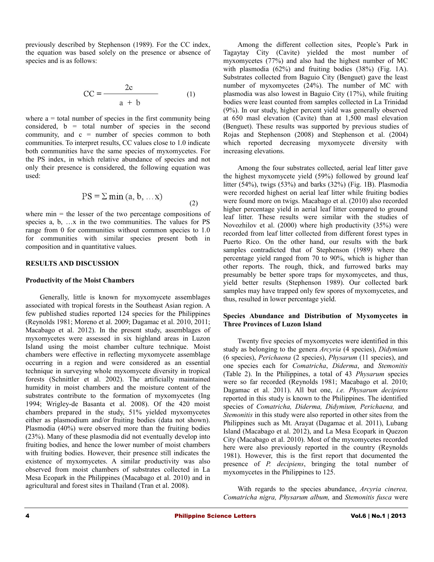previously described by Stephenson (1989). For the CC index, the equation was based solely on the presence or absence of species and is as follows:

$$
CC = \frac{2c}{a + b} \tag{1}
$$

where  $a =$  total number of species in the first community being considered, b = total number of species in the second community, and  $c =$  number of species common to both communities. To interpret results, CC values close to 1.0 indicate both communities have the same species of myxomycetes. For the PS index, in which relative abundance of species and not only their presence is considered, the following equation was used:

$$
PS = \sum \min (a, b, \dots x)
$$
 (2)

where  $min =$  the lesser of the two percentage compositions of species a, b, …x in the two communities. The values for PS range from 0 for communities without common species to 1.0 for communities with similar species present both in composition and in quantitative values.

#### **RESULTS AND DISCUSSION**

#### **Productivity of the Moist Chambers**

Generally, little is known for myxomycete assemblages associated with tropical forests in the Southeast Asian region. A few published studies reported 124 species for the Philippines (Reynolds 1981; Moreno et al. 2009; Dagamac et al. 2010, 2011; Macabago et al. 2012). In the present study, assemblages of myxomycetes were assessed in six highland areas in Luzon Island using the moist chamber culture technique. Moist chambers were effective in reflecting myxomycete assemblage occurring in a region and were considered as an essential technique in surveying whole myxomycete diversity in tropical forests (Schnittler et al. 2002). The artificially maintained humidity in moist chambers and the moisture content of the substrates contribute to the formation of myxomycetes (Ing 1994; Wrigley-de Basanta et al. 2008). Of the 420 moist chambers prepared in the study, 51% yielded myxomycetes either as plasmodium and/or fruiting bodies (data not shown). Plasmodia (40%) were observed more than the fruiting bodies (23%). Many of these plasmodia did not eventually develop into fruiting bodies, and hence the lower number of moist chambers with fruiting bodies. However, their presence still indicates the existence of myxomycetes. A similar productivity was also observed from moist chambers of substrates collected in La Mesa Ecopark in the Philippines (Macabago et al. 2010) and in agricultural and forest sites in Thailand (Tran et al. 2008).

Among the different collection sites, People's Park in Tagaytay City (Cavite) yielded the most number of myxomycetes (77%) and also had the highest number of MC with plasmodia (62%) and fruiting bodies (38%) (Fig. 1A). Substrates collected from Baguio City (Benguet) gave the least number of myxomycetes (24%). The number of MC with plasmodia was also lowest in Baguio City (17%), while fruiting bodies were least counted from samples collected in La Trinidad (9%). In our study, higher percent yield was generally observed at 650 masl elevation (Cavite) than at 1,500 masl elevation (Benguet). These results was supported by previous studies of Rojas and Stephenson (2008) and Stephenson et al. (2004) which reported decreasing myxomycete diversity with increasing elevations.

Among the four substrates collected, aerial leaf litter gave the highest myxomycete yield (59%) followed by ground leaf litter (54%), twigs (53%) and barks (32%) (Fig. 1B). Plasmodia were recorded highest on aerial leaf litter while fruiting bodies were found more on twigs. Macabago et al. (2010) also recorded higher percentage yield in aerial leaf litter compared to ground leaf litter. These results were similar with the studies of Novozhilov et al. (2000) where high productivity (35%) were recorded from leaf litter collected from different forest types in Puerto Rico. On the other hand, our results with the bark samples contradicted that of Stephenson (1989) where the percentage yield ranged from 70 to 90%, which is higher than other reports. The rough, thick, and furrowed barks may presumably be better spore traps for myxomycetes, and thus, yield better results (Stephenson 1989). Our collected bark samples may have trapped only few spores of myxomycetes, and thus, resulted in lower percentage yield.

# **Species Abundance and Distribution of Myxomycetes in Three Provinces of Luzon Island**

Twenty five species of myxomycetes were identified in this study as belonging to the genera *Arcyria* (4 species), *Didymium* (6 species), *Perichaena* (2 species), *Physarum* (11 species), and one species each for *Comatricha*, *Diderma*, and *Stemonitis* (Table 2). In the Philippines, a total of 43 *Physarum* species were so far recorded (Reynolds 1981; Macabago et al. 2010; Dagamac et al. 2011). All but one, *i.e. Physarum decipiens* reported in this study is known to the Philippines. The identified species of *Comatricha, Diderma, Didymium, Perichaena,* and *Stemonitis* in this study were also reported in other sites from the Philippines such as Mt. Arayat (Dagamac et al. 2011), Lubang Island (Macabago et al. 2012), and La Mesa Ecopark in Quezon City (Macabago et al. 2010). Most of the myxomycetes recorded here were also previously reported in the country (Reynolds 1981). However, this is the first report that documented the presence of *P. decipiens*, bringing the total number of myxomycetes in the Philippines to 125.

With regards to the species abundance, *Arcyria cinerea, Comatricha nigra, Physarum album,* and *Stemonitis fusca* were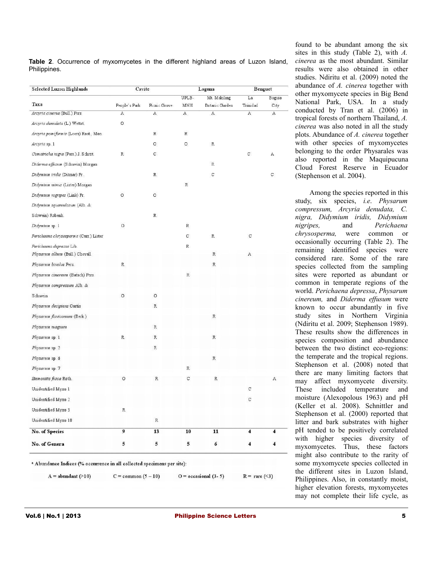**Table 2**. Occurrence of myxomycetes in the different highland areas of Luzon Island, Philippines.

| Selected Luzon Highlands               | Cavite        |              | Laguna                |                | Benguet                 |      |
|----------------------------------------|---------------|--------------|-----------------------|----------------|-------------------------|------|
|                                        |               |              | UPLB-<br>Mt. Makiling |                | La<br>Baguio            |      |
| Taxa                                   | People's Park | Picnic Grove | MNH                   | Botanic Garden | Trinidad                | City |
| Arcyria cinerea (Bull.) Pers.          | Α             | Α            | А                     | Α              | Α                       | Α    |
| Arcyria demidata (L.) Wettst.          | O             |              |                       |                |                         |      |
| Arcyria pomiformis (Leers) Rost., Mon. |               | $\mathbb R$  | $\mathbb R$           |                |                         |      |
| Arcyria sp. 1                          |               | О            | О                     | R              |                         |      |
| Comatricha nigra (Pers.) J. Schröt.    | R             | C            |                       |                | C.                      | A    |
| Diderma effusum (Schwein) Morgan       |               |              |                       | $\mathbb R$    |                         |      |
| Didymium iridis (Ditmar) Fr.           |               | $\mathbb R$  |                       | C              |                         | C    |
| Didymium minus (Lister) Morgan         |               |              | $\mathbb R$           |                |                         |      |
| Didymium nigripes (Link) Fr.           | O             | O            |                       |                |                         |      |
| Didymium squamulosum (Alb. &           |               |              |                       |                |                         |      |
| Schwein) Rabenh.                       |               | $\mathbb R$  |                       |                |                         |      |
| Didymium sp. 1                         | $\circ$       |              | R                     |                |                         |      |
| Perichaena chrysosperma (Curr.) Lister |               |              | C                     | $\mathbb R$    | $\mathbf C$             |      |
| Perichaena depressa Lib.               |               |              | $\mathbb R$           |                |                         |      |
| Physarum album (Bull.) Chevall.        |               |              |                       | R              | Α                       |      |
| Physarum bivalve Pers.                 | $\mathbb{R}$  |              |                       | R              |                         |      |
| Physarum cinereum (Batsch) Pers.       |               |              | $\,$ R                |                |                         |      |
| Physarum compressum Alb. &             |               |              |                       |                |                         |      |
| Schwein                                | O             | O            |                       |                |                         |      |
| Physarum decipiens Curtis              |               | $\,$ R       |                       |                |                         |      |
| Physarum flavicomum (Berk.)            |               |              |                       | R              |                         |      |
| Physarum magnum                        |               | $\mathbb R$  |                       |                |                         |      |
| Physarum sp. 1                         | R             | $\mathbb R$  |                       | $\mathbb R$    |                         |      |
| Physarum sp. 2                         |               | $\mathbb R$  |                       |                |                         |      |
| Physarum sp. 6                         |               |              |                       | $\,$ R         |                         |      |
| Physarum sp. 7                         |               |              | $\mathbb R$           |                |                         |      |
| Stemonitis fusca Roth.                 | O             | R            | C                     | R              |                         | Α    |
| Unidentified Myxo 1                    |               |              |                       |                | С                       |      |
|                                        |               |              |                       |                | С                       |      |
| Unidentified Myxo 2                    |               |              |                       |                |                         |      |
| Unidentified Myxo 3                    | R.            |              |                       |                |                         |      |
| Unidentified Myxo 10                   |               | $\,$ R       |                       |                |                         |      |
| <b>No. of Species</b>                  | 9             | 13           | 10                    | 11             | $\overline{\mathbf{4}}$ | 4    |
| No. of Genera                          | 5             | 5            | 5                     | 6              | $\overline{\mathbf{4}}$ | 4    |

<sup>a</sup> Abundance Indices (% occurrence in all collected specimens per site):

 $A =$ abundant (>10)

 $C = \text{common}(5-10)$ 

 $O =$  occasional  $(3-5)$  $R = \text{rare} (\leq 3)$ 

found to be abundant among the six sites in this study (Table 2), with *A. cinerea* as the most abundant. Similar results were also obtained in other studies. Ndiritu et al. (2009) noted the abundance of *A. cinerea* together with other myxomycete species in Big Bend National Park, USA. In a study conducted by Tran et al. (2006) in tropical forests of northern Thailand, *A. cinerea* was also noted in all the study plots. Abundance of *A. cinerea* together with other species of myxomycetes belonging to the order Physarales was also reported in the Maquipucuna Cloud Forest Reserve in Ecuador (Stephenson et al. 2004).

Among the species reported in this study, six species, *i.e*. *Physarum compressum, Arcyria denudata, C. nigra, Didymium iridis, Didymium nigripes,* and *Perichaena chrysosperma,* were common or occasionally occurring (Table 2). The remaining identified species were considered rare. Some of the rare species collected from the sampling sites were reported as abundant or common in temperate regions of the world. *Perichaena depressa*, *Physarum cinereum,* and *Diderma effusum* were known to occur abundantly in five study sites in Northern Virginia (Ndiritu et al. 2009; Stephenson 1989). These results show the differences in species composition and abundance between the two distinct eco-regions: the temperate and the tropical regions. Stephenson et al. (2008) noted that there are many limiting factors that may affect myxomycete diversity. These included temperature and moisture (Alexopolous 1963) and pH (Keller et al. 2008). Schnittler and Stephenson et al. (2000) reported that litter and bark substrates with higher pH tended to be positively correlated with higher species diversity of myxomycetes. Thus, these factors might also contribute to the rarity of some myxomycete species collected in the different sites in Luzon Island, Philippines. Also, in constantly moist, higher elevation forests, myxomycetes may not complete their life cycle, as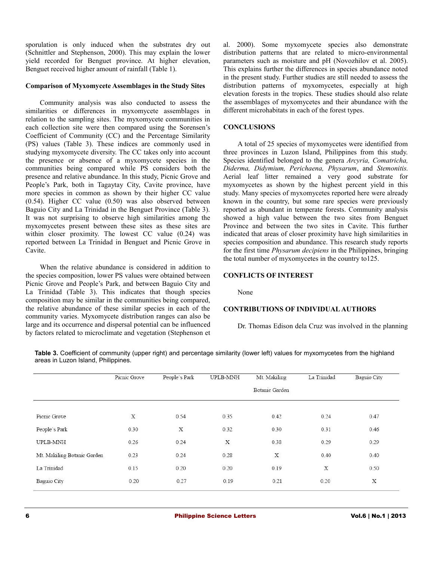sporulation is only induced when the substrates dry out (Schnittler and Stephenson, 2000). This may explain the lower yield recorded for Benguet province. At higher elevation, Benguet received higher amount of rainfall (Table 1).

## **Comparison of Myxomycete Assemblages in the Study Sites**

Community analysis was also conducted to assess the similarities or differences in myxomycete assemblages in relation to the sampling sites. The myxomycete communities in each collection site were then compared using the Sorensen's Coefficient of Community (CC) and the Percentage Similarity (PS) values (Table 3). These indices are commonly used in studying myxomycete diversity. The CC takes only into account the presence or absence of a myxomycete species in the communities being compared while PS considers both the presence and relative abundance. In this study, Picnic Grove and People's Park, both in Tagaytay City, Cavite province, have more species in common as shown by their higher CC value (0.54). Higher CC value (0.50) was also observed between Baguio City and La Trinidad in the Benguet Province (Table 3). It was not surprising to observe high similarities among the myxomycetes present between these sites as these sites are within closer proximity. The lowest CC value (0.24) was reported between La Trinidad in Benguet and Picnic Grove in Cavite.

When the relative abundance is considered in addition to the species composition, lower PS values were obtained between Picnic Grove and People's Park, and between Baguio City and La Trinidad (Table 3). This indicates that though species composition may be similar in the communities being compared, the relative abundance of these similar species in each of the community varies. Myxomycete distribution ranges can also be large and its occurrence and dispersal potential can be influenced by factors related to microclimate and vegetation (Stephenson et al. 2000). Some myxomycete species also demonstrate distribution patterns that are related to micro-environmental parameters such as moisture and pH (Novozhilov et al. 2005). This explains further the differences in species abundance noted in the present study. Further studies are still needed to assess the distribution patterns of myxomycetes, especially at high elevation forests in the tropics. These studies should also relate the assemblages of myxomycetes and their abundance with the different microhabitats in each of the forest types.

# **CONCLUSIONS**

A total of 25 species of myxomycetes were identified from three provinces in Luzon Island, Philippines from this study. Species identified belonged to the genera *Arcyria, Comatricha, Diderma, Didymium, Perichaena, Physarum*, and *Stemonitis.* Aerial leaf litter remained a very good substrate for myxomycetes as shown by the highest percent yield in this study. Many species of myxomycetes reported here were already known in the country, but some rare species were previously reported as abundant in temperate forests. Community analysis showed a high value between the two sites from Benguet Province and between the two sites in Cavite. This further indicated that areas of closer proximity have high similarities in species composition and abundance. This research study reports for the first time *Physarum decipiens* in the Philippines, bringing the total number of myxomycetes in the country to125.

## **CONFLICTS OF INTEREST**

None

## **CONTRIBUTIONS OF INDIVIDUAL AUTHORS**

Dr. Thomas Edison dela Cruz was involved in the planning

**Table 3.** Coefficient of community (upper right) and percentage similarity (lower left) values for myxomycetes from the highland areas in Luzon Island, Philippines.

| Picnic Grove | People's Park  | UPLB-MNH | Mt. Makiling | La Trinidad | <b>Baguio City</b> |  |
|--------------|----------------|----------|--------------|-------------|--------------------|--|
|              | Botanic Garden |          |              |             |                    |  |
| X            | 0.54           | 0.35     | 0.42         | 0.24        | 0.47               |  |
| 0.30         | $\mathbf X$    | 0.32     | 0.30         | 0.31        | 0.46               |  |
| 0.26         | 0.24           | X        | 0.38         | 0.29        | 0.29               |  |
| 0.23         | 0.24           | 0.28     | $\mathbf X$  | 0.40        | 0.40               |  |
| 0.15         | 0.20           | 0.20     | 0.19         | $\mathbf X$ | 0.50               |  |
| 0.20         | 0.27           | 0.19     | 0.21         | 0.20        | X                  |  |
|              |                |          |              |             |                    |  |